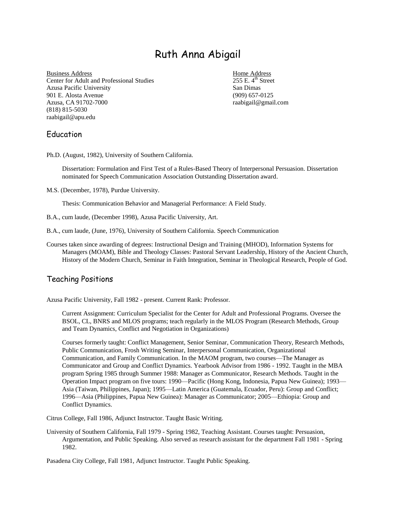# Ruth Anna Abigail

Business Address Home Address Center for Adult and Professional Studies 255 E. 4<sup>th</sup> Street Azusa Pacific University San Dimas 901 E. Alosta Avenue (909) 657-0125 Azusa, CA 91702-7000 **raabigail@gmail.com** raabigail@gmail.com (818) 815-5030 raabigail@apu.edu

## Education

Ph.D. (August, 1982), University of Southern California.

Dissertation: Formulation and First Test of a Rules-Based Theory of Interpersonal Persuasion. Dissertation nominated for Speech Communication Association Outstanding Dissertation award.

M.S. (December, 1978), Purdue University.

Thesis: Communication Behavior and Managerial Performance: A Field Study.

- B.A., cum laude, (December 1998), Azusa Pacific University, Art.
- B.A., cum laude, (June, 1976), University of Southern California. Speech Communication
- Courses taken since awarding of degrees: Instructional Design and Training (MHOD), Information Systems for Managers (MOAM), Bible and Theology Classes: Pastoral Servant Leadership, History of the Ancient Church, History of the Modern Church, Seminar in Faith Integration, Seminar in Theological Research, People of God.

## Teaching Positions

Azusa Pacific University, Fall 1982 - present. Current Rank: Professor.

Current Assignment: Curriculum Specialist for the Center for Adult and Professional Programs. Oversee the BSOL, CL, BNRS and MLOS programs; teach regularly in the MLOS Program (Research Methods, Group and Team Dynamics, Conflict and Negotiation in Organizations)

Courses formerly taught: Conflict Management, Senior Seminar, Communication Theory, Research Methods, Public Communication, Frosh Writing Seminar, Interpersonal Communication, Organizational Communication, and Family Communication. In the MAOM program, two courses—The Manager as Communicator and Group and Conflict Dynamics. Yearbook Advisor from 1986 - 1992. Taught in the MBA program Spring 1985 through Summer 1988: Manager as Communicator, Research Methods. Taught in the Operation Impact program on five tours: 1990—Pacific (Hong Kong, Indonesia, Papua New Guinea); 1993— Asia (Taiwan, Philippines, Japan); 1995—Latin America (Guatemala, Ecuador, Peru): Group and Conflict; 1996—Asia (Philippines, Papua New Guinea): Manager as Communicator; 2005—Ethiopia: Group and Conflict Dynamics.

Citrus College, Fall 1986, Adjunct Instructor. Taught Basic Writing.

University of Southern California, Fall 1979 - Spring 1982, Teaching Assistant. Courses taught: Persuasion, Argumentation, and Public Speaking. Also served as research assistant for the department Fall 1981 - Spring 1982.

Pasadena City College, Fall 1981, Adjunct Instructor. Taught Public Speaking.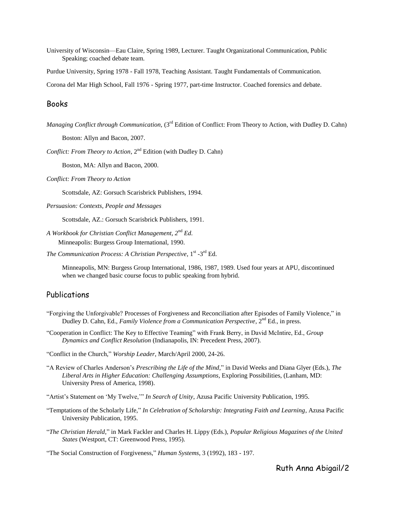University of Wisconsin—Eau Claire, Spring 1989, Lecturer. Taught Organizational Communication, Public Speaking; coached debate team.

Purdue University, Spring 1978 - Fall 1978, Teaching Assistant. Taught Fundamentals of Communication.

Corona del Mar High School, Fall 1976 - Spring 1977, part-time Instructor. Coached forensics and debate.

#### Books

*Managing Conflict through Communication,* (3<sup>rd</sup> Edition of Conflict: From Theory to Action, with Dudley D. Cahn)

Boston: Allyn and Bacon, 2007.

*Conflict: From Theory to Action*,  $2^{nd}$  Edition (with Dudley D. Cahn)

Boston, MA: Allyn and Bacon, 2000.

*Conflict: From Theory to Action* 

Scottsdale, AZ: Gorsuch Scarisbrick Publishers, 1994.

*Persuasion: Contexts, People and Messages* 

Scottsdale, AZ.: Gorsuch Scarisbrick Publishers, 1991.

*A Workbook for Christian Conflict Management, 2*nd *Ed.*  Minneapolis: Burgess Group International, 1990.

The Communication Process: A Christian Perspective, 1<sup>st</sup> -3<sup>rd</sup> Ed.

Minneapolis, MN: Burgess Group International, 1986, 1987, 1989. Used four years at APU, discontinued when we changed basic course focus to public speaking from hybrid.

#### **Publications**

- "Forgiving the Unforgivable? Processes of Forgiveness and Reconciliation after Episodes of Family Violence," in Dudley D. Cahn, Ed., *Family Violence from a Communication Perspective*, 2<sup>nd</sup> Ed., in press.
- ―Cooperation in Conflict: The Key to Effective Teaming‖ with Frank Berry, in David McIntire, Ed., *Group Dynamics and Conflict Resolution* (Indianapolis, IN: Precedent Press, 2007).

―Conflict in the Church,‖ *Worship Leader*, March/April 2000, 24-26.

―A Review of Charles Anderson's *Prescribing the Life of the Mind*,‖ in David Weeks and Diana Glyer (Eds.), *The Liberal Arts in Higher Education: Challenging Assumptions*, Exploring Possibilities, (Lanham, MD: University Press of America, 1998).

"Artist's Statement on 'My Twelve," *In Search of Unity*, Azusa Pacific University Publication, 1995.

- ―Temptations of the Scholarly Life,‖ *In Celebration of Scholarship: Integrating Faith and Learning*, Azusa Pacific University Publication, 1995.
- ―*The Christian Herald*,‖ in Mark Fackler and Charles H. Lippy (Eds.), *Popular Religious Magazines of the United States* (Westport, CT: Greenwood Press, 1995).

<sup>―</sup>The Social Construction of Forgiveness,‖ *Human Systems*, 3 (1992), 183 - 197.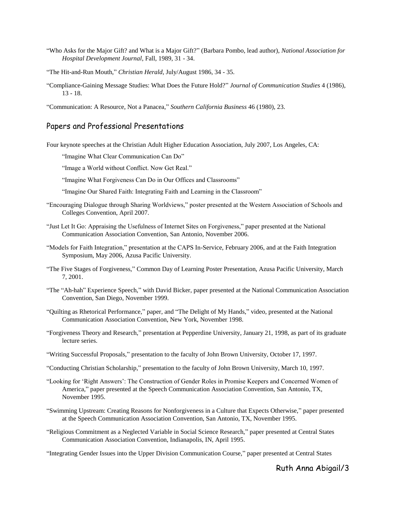- ―Who Asks for the Major Gift? and What is a Major Gift?‖ (Barbara Pombo, lead author), *National Association for Hospital Development Journal*, Fall, 1989, 31 - 34.
- "The Hit-and-Run Mouth," *Christian Herald*, July/August 1986, 34 35.
- ―Compliance-Gaining Message Studies: What Does the Future Hold?‖ *Journal of Communication Studies* 4 (1986), 13 - 18.
- ―Communication: A Resource, Not a Panacea,‖ *Southern California Business* 46 (1980), 23.

#### Papers and Professional Presentations

Four keynote speeches at the Christian Adult Higher Education Association, July 2007, Los Angeles, CA:

"Imagine What Clear Communication Can Do"

"Image a World without Conflict. Now Get Real."

"Imagine What Forgiveness Can Do in Our Offices and Classrooms"

"Imagine Our Shared Faith: Integrating Faith and Learning in the Classroom"

- ―Encouraging Dialogue through Sharing Worldviews,‖ poster presented at the Western Association of Schools and Colleges Convention, April 2007.
- "Just Let It Go: Appraising the Usefulness of Internet Sites on Forgiveness," paper presented at the National Communication Association Convention, San Antonio, November 2006.
- "Models for Faith Integration," presentation at the CAPS In-Service, February 2006, and at the Faith Integration Symposium, May 2006, Azusa Pacific University.
- "The Five Stages of Forgiveness," Common Day of Learning Poster Presentation, Azusa Pacific University, March 7, 2001.
- ―The ―Ah-hah‖ Experience Speech,‖ with David Bicker, paper presented at the National Communication Association Convention, San Diego, November 1999.
- "Quilting as Rhetorical Performance," paper, and "The Delight of My Hands," video, presented at the National Communication Association Convention, New York, November 1998.
- ―Forgiveness Theory and Research,‖ presentation at Pepperdine University, January 21, 1998, as part of its graduate lecture series.
- ―Writing Successful Proposals,‖ presentation to the faculty of John Brown University, October 17, 1997.
- ―Conducting Christian Scholarship,‖ presentation to the faculty of John Brown University, March 10, 1997.
- ―Looking for ‗Right Answers': The Construction of Gender Roles in Promise Keepers and Concerned Women of America," paper presented at the Speech Communication Association Convention, San Antonio, TX, November 1995.
- ―Swimming Upstream: Creating Reasons for Nonforgiveness in a Culture that Expects Otherwise,‖ paper presented at the Speech Communication Association Convention, San Antonio, TX, November 1995.
- ―Religious Commitment as a Neglected Variable in Social Science Research,‖ paper presented at Central States Communication Association Convention, Indianapolis, IN, April 1995.
- ―Integrating Gender Issues into the Upper Division Communication Course,‖ paper presented at Central States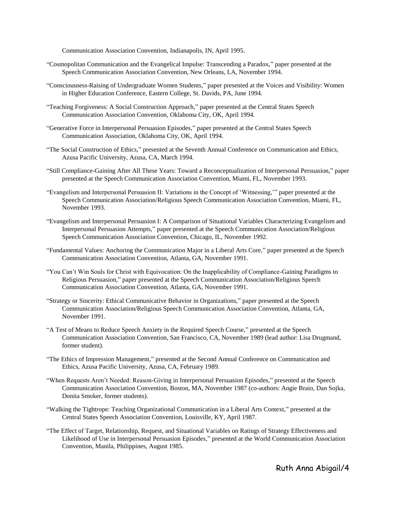Communication Association Convention, Indianapolis, IN, April 1995.

- ―Cosmopolitan Communication and the Evangelical Impulse: Transcending a Paradox,‖ paper presented at the Speech Communication Association Convention, New Orleans, LA, November 1994.
- ―Consciousness-Raising of Undergraduate Women Students,‖ paper presented at the Voices and Visibility: Women in Higher Education Conference, Eastern College, St. Davids, PA, June 1994.
- ―Teaching Forgiveness: A Social Construction Approach,‖ paper presented at the Central States Speech Communication Association Convention, Oklahoma City, OK, April 1994.
- ―Generative Force in Interpersonal Persuasion Episodes,‖ paper presented at the Central States Speech Communication Association, Oklahoma City, OK, April 1994.
- ―The Social Construction of Ethics,‖ presented at the Seventh Annual Conference on Communication and Ethics, Azusa Pacific University, Azusa, CA, March 1994.
- "Still Compliance-Gaining After All These Years: Toward a Reconceptualization of Interpersonal Persuasion," paper presented at the Speech Communication Association Convention, Miami, FL, November 1993.
- "Evangelism and Interpersonal Persuasion II: Variations in the Concept of 'Witnessing,'" paper presented at the Speech Communication Association/Religious Speech Communication Association Convention, Miami, FL, November 1993.
- ―Evangelism and Interpersonal Persuasion I: A Comparison of Situational Variables Characterizing Evangelism and Interpersonal Persuasion Attempts," paper presented at the Speech Communication Association/Religious Speech Communication Association Convention, Chicago, IL, November 1992.
- "Fundamental Values: Anchoring the Communication Major in a Liberal Arts Core," paper presented at the Speech Communication Association Convention, Atlanta, GA, November 1991.
- ―You Can't Win Souls for Christ with Equivocation: On the Inapplicability of Compliance-Gaining Paradigms to Religious Persuasion," paper presented at the Speech Communication Association/Religious Speech Communication Association Convention, Atlanta, GA, November 1991.
- "Strategy or Sincerity: Ethical Communicative Behavior in Organizations," paper presented at the Speech Communication Association/Religious Speech Communication Association Convention, Atlanta, GA, November 1991.
- "A Test of Means to Reduce Speech Anxiety in the Required Speech Course," presented at the Speech Communication Association Convention, San Francisco, CA, November 1989 (lead author: Lisa Drugmand, former student).
- "The Ethics of Impression Management," presented at the Second Annual Conference on Communication and Ethics, Azusa Pacific University, Azusa, CA, February 1989.
- "When Requests Aren't Needed: Reason-Giving in Interpersonal Persuasion Episodes," presented at the Speech Communication Association Convention, Boston, MA, November 1987 (co-authors: Angie Braio, Dan Sojka, Donita Smoker, former students).
- ―Walking the Tightrope: Teaching Organizational Communication in a Liberal Arts Context,‖ presented at the Central States Speech Association Convention, Louisville, KY, April 1987.
- ―The Effect of Target, Relationship, Request, and Situational Variables on Ratings of Strategy Effectiveness and Likelihood of Use in Interpersonal Persuasion Episodes," presented at the World Communication Association Convention, Manila, Philippines, August 1985.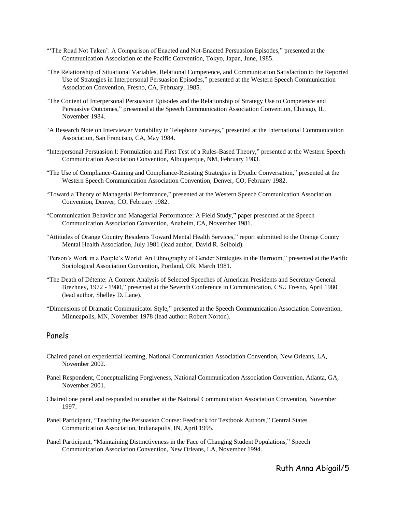- "The Road Not Taken': A Comparison of Enacted and Not-Enacted Persuasion Episodes," presented at the Communication Association of the Pacific Convention, Tokyo, Japan, June, 1985.
- ―The Relationship of Situational Variables, Relational Competence, and Communication Satisfaction to the Reported Use of Strategies in Interpersonal Persuasion Episodes," presented at the Western Speech Communication Association Convention, Fresno, CA, February, 1985.
- ―The Content of Interpersonal Persuasion Episodes and the Relationship of Strategy Use to Competence and Persuasive Outcomes," presented at the Speech Communication Association Convention, Chicago, IL, November 1984.
- ―A Research Note on Interviewer Variability in Telephone Surveys,‖ presented at the International Communication Association, San Francisco, CA, May 1984.
- "Interpersonal Persuasion I: Formulation and First Test of a Rules-Based Theory," presented at the Western Speech Communication Association Convention, Albuquerque, NM, February 1983.
- "The Use of Compliance-Gaining and Compliance-Resisting Strategies in Dyadic Conversation," presented at the Western Speech Communication Association Convention, Denver, CO, February 1982.
- ―Toward a Theory of Managerial Performance,‖ presented at the Western Speech Communication Association Convention, Denver, CO, February 1982.
- "Communication Behavior and Managerial Performance: A Field Study," paper presented at the Speech Communication Association Convention, Anaheim, CA, November 1981.
- "Attitudes of Orange Country Residents Toward Mental Health Services," report submitted to the Orange County Mental Health Association, July 1981 (lead author, David R. Seibold).
- "Person's Work in a People's World: An Ethnography of Gender Strategies in the Barroom," presented at the Pacific Sociological Association Convention, Portland, OR, March 1981.
- ―The Death of Détente: A Content Analysis of Selected Speeches of American Presidents and Secretary General Brezhnev, 1972 - 1980," presented at the Seventh Conference in Communication, CSU Fresno, April 1980 (lead author, Shelley D. Lane).
- "Dimensions of Dramatic Communicator Style," presented at the Speech Communication Association Convention, Minneapolis, MN, November 1978 (lead author: Robert Norton).

#### Panels

- Chaired panel on experiential learning, National Communication Association Convention, New Orleans, LA, November 2002.
- Panel Respondent, Conceptualizing Forgiveness, National Communication Association Convention, Atlanta, GA, November 2001.
- Chaired one panel and responded to another at the National Communication Association Convention, November 1997.
- Panel Participant, "Teaching the Persuasion Course: Feedback for Textbook Authors," Central States Communication Association, Indianapolis, IN, April 1995.
- Panel Participant, "Maintaining Distinctiveness in the Face of Changing Student Populations," Speech Communication Association Convention, New Orleans, LA, November 1994.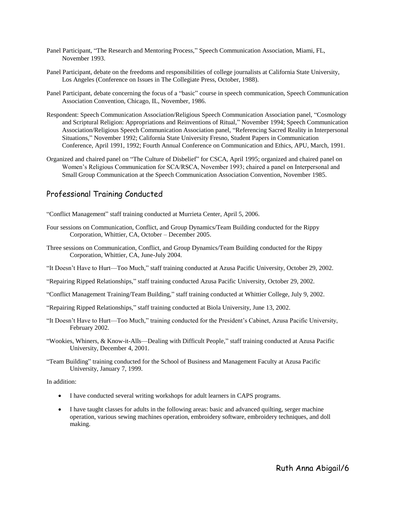- Panel Participant, "The Research and Mentoring Process," Speech Communication Association, Miami, FL, November 1993.
- Panel Participant, debate on the freedoms and responsibilities of college journalists at California State University, Los Angeles (Conference on Issues in The Collegiate Press, October, 1988).
- Panel Participant, debate concerning the focus of a "basic" course in speech communication, Speech Communication Association Convention, Chicago, IL, November, 1986.
- Respondent: Speech Communication Association/Religious Speech Communication Association panel, "Cosmology" and Scriptural Religion: Appropriations and Reinventions of Ritual," November 1994; Speech Communication Association/Religious Speech Communication Association panel, "Referencing Sacred Reality in Interpersonal Situations,‖ November 1992; California State University Fresno, Student Papers in Communication Conference, April 1991, 1992; Fourth Annual Conference on Communication and Ethics, APU, March, 1991.
- Organized and chaired panel on "The Culture of Disbelief" for CSCA, April 1995; organized and chaired panel on Women's Religious Communication for SCA/RSCA, November 1993; chaired a panel on Interpersonal and Small Group Communication at the Speech Communication Association Convention, November 1985.

## Professional Training Conducted

―Conflict Management‖ staff training conducted at Murrieta Center, April 5, 2006.

- Four sessions on Communication, Conflict, and Group Dynamics/Team Building conducted for the Rippy Corporation, Whittier, CA, October – December 2005.
- Three sessions on Communication, Conflict, and Group Dynamics/Team Building conducted for the Rippy Corporation, Whittier, CA, June-July 2004.
- "It Doesn't Have to Hurt—Too Much," staff training conducted at Azusa Pacific University, October 29, 2002.
- ―Repairing Ripped Relationships,‖ staff training conducted Azusa Pacific University, October 29, 2002.
- ―Conflict Management Training/Team Building,‖ staff training conducted at Whittier College, July 9, 2002.
- ―Repairing Ripped Relationships,‖ staff training conducted at Biola University, June 13, 2002.
- ―It Doesn't Have to Hurt—Too Much,‖ training conducted for the President's Cabinet, Azusa Pacific University, February 2002.
- "Wookies, Whiners, & Know-it-Alls—Dealing with Difficult People," staff training conducted at Azusa Pacific University, December 4, 2001.
- ―Team Building‖ training conducted for the School of Business and Management Faculty at Azusa Pacific University, January 7, 1999.

In addition:

- I have conducted several writing workshops for adult learners in CAPS programs.
- I have taught classes for adults in the following areas: basic and advanced quilting, serger machine operation, various sewing machines operation, embroidery software, embroidery techniques, and doll making.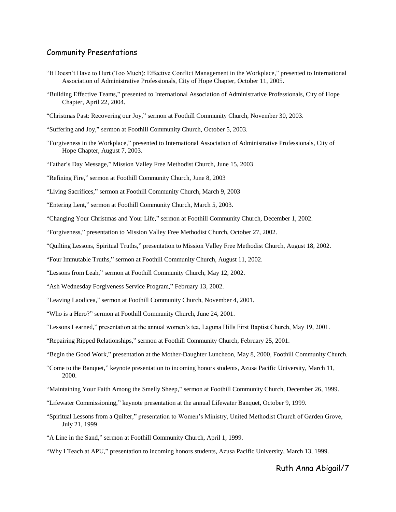#### Community Presentations

- ―It Doesn't Have to Hurt (Too Much): Effective Conflict Management in the Workplace,‖ presented to International Association of Administrative Professionals, City of Hope Chapter, October 11, 2005.
- ―Building Effective Teams,‖ presented to International Association of Administrative Professionals, City of Hope Chapter, April 22, 2004.
- ―Christmas Past: Recovering our Joy,‖ sermon at Foothill Community Church, November 30, 2003.
- "Suffering and Joy," sermon at Foothill Community Church, October 5, 2003.
- ―Forgiveness in the Workplace,‖ presented to International Association of Administrative Professionals, City of Hope Chapter, August 7, 2003.
- "Father's Day Message," Mission Valley Free Methodist Church, June 15, 2003
- "Refining Fire," sermon at Foothill Community Church, June 8, 2003

―Living Sacrifices,‖ sermon at Foothill Community Church, March 9, 2003

"Entering Lent," sermon at Foothill Community Church, March 5, 2003.

―Changing Your Christmas and Your Life,‖ sermon at Foothill Community Church, December 1, 2002.

―Forgiveness,‖ presentation to Mission Valley Free Methodist Church, October 27, 2002.

―Quilting Lessons, Spiritual Truths,‖ presentation to Mission Valley Free Methodist Church, August 18, 2002.

―Four Immutable Truths,‖ sermon at Foothill Community Church, August 11, 2002.

―Lessons from Leah,‖ sermon at Foothill Community Church, May 12, 2002.

"Ash Wednesday Forgiveness Service Program," February 13, 2002.

―Leaving Laodicea,‖ sermon at Foothill Community Church, November 4, 2001.

"Who is a Hero?" sermon at Foothill Community Church, June 24, 2001.

―Lessons Learned,‖ presentation at the annual women's tea, Laguna Hills First Baptist Church, May 19, 2001.

―Repairing Ripped Relationships,‖ sermon at Foothill Community Church, February 25, 2001.

- ―Begin the Good Work,‖ presentation at the Mother-Daughter Luncheon, May 8, 2000, Foothill Community Church.
- ―Come to the Banquet,‖ keynote presentation to incoming honors students, Azusa Pacific University, March 11, 2000.
- ―Maintaining Your Faith Among the Smelly Sheep,‖ sermon at Foothill Community Church, December 26, 1999.
- ―Lifewater Commissioning,‖ keynote presentation at the annual Lifewater Banquet, October 9, 1999.
- ―Spiritual Lessons from a Quilter,‖ presentation to Women's Ministry, United Methodist Church of Garden Grove, July 21, 1999
- "A Line in the Sand," sermon at Foothill Community Church, April 1, 1999.
- "Why I Teach at APU," presentation to incoming honors students, Azusa Pacific University, March 13, 1999.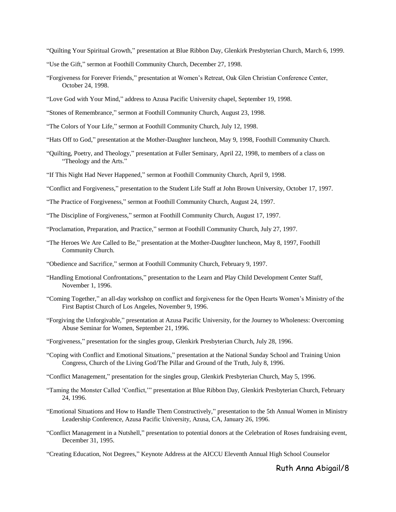―Quilting Your Spiritual Growth,‖ presentation at Blue Ribbon Day, Glenkirk Presbyterian Church, March 6, 1999.

- "Use the Gift," sermon at Foothill Community Church, December 27, 1998.
- ―Forgiveness for Forever Friends,‖ presentation at Women's Retreat, Oak Glen Christian Conference Center, October 24, 1998.
- "Love God with Your Mind," address to Azusa Pacific University chapel, September 19, 1998.
- ―Stones of Remembrance,‖ sermon at Foothill Community Church, August 23, 1998.
- "The Colors of Your Life," sermon at Foothill Community Church, July 12, 1998.
- ―Hats Off to God,‖ presentation at the Mother-Daughter luncheon, May 9, 1998, Foothill Community Church.
- ―Quilting, Poetry, and Theology,‖ presentation at Fuller Seminary, April 22, 1998, to members of a class on "Theology and the Arts."
- "If This Night Had Never Happened," sermon at Foothill Community Church, April 9, 1998.
- ―Conflict and Forgiveness,‖ presentation to the Student Life Staff at John Brown University, October 17, 1997.
- "The Practice of Forgiveness," sermon at Foothill Community Church, August 24, 1997.
- ―The Discipline of Forgiveness,‖ sermon at Foothill Community Church, August 17, 1997.
- "Proclamation, Preparation, and Practice," sermon at Foothill Community Church, July 27, 1997.
- ―The Heroes We Are Called to Be,‖ presentation at the Mother-Daughter luncheon, May 8, 1997, Foothill Community Church.
- ―Obedience and Sacrifice,‖ sermon at Foothill Community Church, February 9, 1997.
- "Handling Emotional Confrontations," presentation to the Learn and Play Child Development Center Staff, November 1, 1996.
- ―Coming Together,‖ an all-day workshop on conflict and forgiveness for the Open Hearts Women's Ministry of the First Baptist Church of Los Angeles, November 9, 1996.
- ―Forgiving the Unforgivable,‖ presentation at Azusa Pacific University, for the Journey to Wholeness: Overcoming Abuse Seminar for Women, September 21, 1996.
- ―Forgiveness,‖ presentation for the singles group, Glenkirk Presbyterian Church, July 28, 1996.
- ―Coping with Conflict and Emotional Situations,‖ presentation at the National Sunday School and Training Union Congress, Church of the Living God/The Pillar and Ground of the Truth, July 8, 1996.
- ―Conflict Management,‖ presentation for the singles group, Glenkirk Presbyterian Church, May 5, 1996.
- ―Taming the Monster Called ‗Conflict,'‖ presentation at Blue Ribbon Day, Glenkirk Presbyterian Church, February 24, 1996.
- "Emotional Situations and How to Handle Them Constructively," presentation to the 5th Annual Women in Ministry Leadership Conference, Azusa Pacific University, Azusa, CA, January 26, 1996.
- ―Conflict Management in a Nutshell,‖ presentation to potential donors at the Celebration of Roses fundraising event, December 31, 1995.
- ―Creating Education, Not Degrees,‖ Keynote Address at the AICCU Eleventh Annual High School Counselor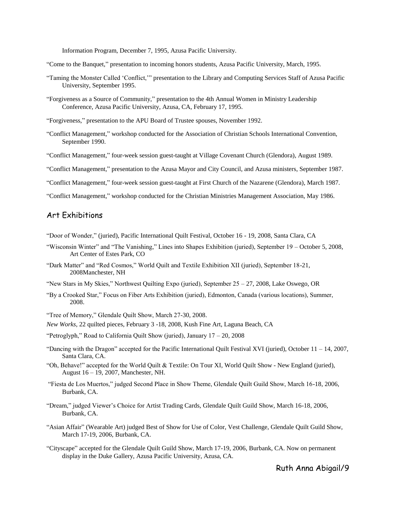Information Program, December 7, 1995, Azusa Pacific University.

―Come to the Banquet,‖ presentation to incoming honors students, Azusa Pacific University, March, 1995.

- ―Taming the Monster Called ‗Conflict,'‖ presentation to the Library and Computing Services Staff of Azusa Pacific University, September 1995.
- "Forgiveness as a Source of Community," presentation to the 4th Annual Women in Ministry Leadership Conference, Azusa Pacific University, Azusa, CA, February 17, 1995.

―Forgiveness,‖ presentation to the APU Board of Trustee spouses, November 1992.

- ―Conflict Management,‖ workshop conducted for the Association of Christian Schools International Convention, September 1990.
- ―Conflict Management,‖ four-week session guest-taught at Village Covenant Church (Glendora), August 1989.

―Conflict Management,‖ presentation to the Azusa Mayor and City Council, and Azusa ministers, September 1987.

―Conflict Management,‖ four-week session guest-taught at First Church of the Nazarene (Glendora), March 1987.

―Conflict Management,‖ workshop conducted for the Christian Ministries Management Association, May 1986.

#### Art Exhibitions

―Door of Wonder,‖ (juried), Pacific International Quilt Festival, October 16 - 19, 2008, Santa Clara, CA

- ―Wisconsin Winter‖ and ―The Vanishing,‖ Lines into Shapes Exhibition (juried), September 19 October 5, 2008, Art Center of Estes Park, CO
- ―Dark Matter‖ and ―Red Cosmos,‖ World Quilt and Textile Exhibition XII (juried), September 18-21, 2008Manchester, NH
- "New Stars in My Skies," Northwest Quilting Expo (juried), September  $25 27$ , 2008, Lake Oswego, OR
- ―By a Crooked Star,‖ Focus on Fiber Arts Exhibition (juried), Edmonton, Canada (various locations), Summer, 2008.

"Tree of Memory," Glendale Quilt Show, March 27-30, 2008.

*New Works*, 22 quilted pieces, February 3 -18, 2008, Kush Fine Art, Laguna Beach, CA

"Petroglyph," Road to California Quilt Show (juried), January  $17 - 20$ , 2008

- "Dancing with the Dragon" accepted for the Pacific International Quilt Festival XVI (juried), October  $11 14$ , 2007, Santa Clara, CA.
- ―Oh, Behave!‖ accepted for the World Quilt & Textile: On Tour XI, World Quilt Show New England (juried), August 16 – 19, 2007, Manchester, NH.
- ―Fiesta de Los Muertos,‖ judged Second Place in Show Theme, Glendale Quilt Guild Show, March 16-18, 2006, Burbank, CA.
- ―Dream,‖ judged Viewer's Choice for Artist Trading Cards, Glendale Quilt Guild Show, March 16-18, 2006, Burbank, CA.
- ―Asian Affair‖ (Wearable Art) judged Best of Show for Use of Color, Vest Challenge, Glendale Quilt Guild Show, March 17-19, 2006, Burbank, CA.
- ―Cityscape‖ accepted for the Glendale Quilt Guild Show, March 17-19, 2006, Burbank, CA. Now on permanent display in the Duke Gallery, Azusa Pacific University, Azusa, CA.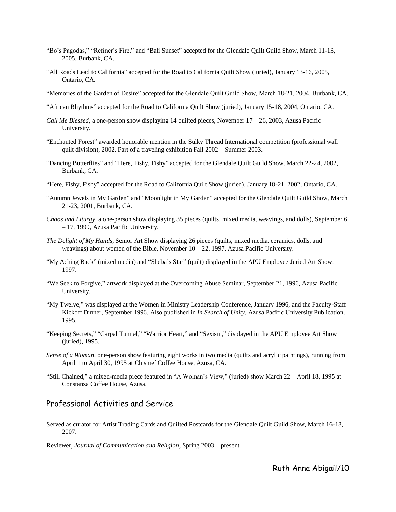- "Bo's Pagodas," "Refiner's Fire," and "Bali Sunset" accepted for the Glendale Quilt Guild Show, March 11-13, 2005, Burbank, CA.
- ―All Roads Lead to California‖ accepted for the Road to California Quilt Show (juried), January 13-16, 2005, Ontario, CA.
- ―Memories of the Garden of Desire‖ accepted for the Glendale Quilt Guild Show, March 18-21, 2004, Burbank, CA.
- ―African Rhythms‖ accepted for the Road to California Quilt Show (juried), January 15-18, 2004, Ontario, CA.
- *Call Me Blessed*, a one-person show displaying 14 quilted pieces, November 17 26, 2003, Azusa Pacific University.
- ―Enchanted Forest‖ awarded honorable mention in the Sulky Thread International competition (professional wall quilt division), 2002. Part of a traveling exhibition Fall 2002 – Summer 2003.
- ―Dancing Butterflies‖ and ―Here, Fishy, Fishy‖ accepted for the Glendale Quilt Guild Show, March 22-24, 2002, Burbank, CA.
- "Here, Fishy, Fishy" accepted for the Road to California Quilt Show (juried), January 18-21, 2002, Ontario, CA.
- "Autumn Jewels in My Garden" and "Moonlight in My Garden" accepted for the Glendale Quilt Guild Show, March 21-23, 2001, Burbank, CA.
- *Chaos and Liturgy*, a one-person show displaying 35 pieces (quilts, mixed media, weavings, and dolls), September 6 – 17, 1999, Azusa Pacific University.
- *The Delight of My Hands*, Senior Art Show displaying 26 pieces (quilts, mixed media, ceramics, dolls, and weavings) about women of the Bible, November 10 – 22, 1997, Azusa Pacific University.
- "My Aching Back" (mixed media) and "Sheba's Star" (quilt) displayed in the APU Employee Juried Art Show, 1997.
- ―We Seek to Forgive,‖ artwork displayed at the Overcoming Abuse Seminar, September 21, 1996, Azusa Pacific University.
- ―My Twelve,‖ was displayed at the Women in Ministry Leadership Conference, January 1996, and the Faculty-Staff Kickoff Dinner, September 1996. Also published in *In Search of Unity*, Azusa Pacific University Publication, 1995.
- "Keeping Secrets," "Carpal Tunnel," "Warrior Heart," and "Sexism," displayed in the APU Employee Art Show (juried), 1995.
- *Sense of a Woman*, one-person show featuring eight works in two media (quilts and acrylic paintings), running from April 1 to April 30, 1995 at Chisme´ Coffee House, Azusa, CA.
- "Still Chained," a mixed-media piece featured in "A Woman's View," (juried) show March 22 April 18, 1995 at Constanza Coffee House, Azusa.

## Professional Activities and Service

Served as curator for Artist Trading Cards and Quilted Postcards for the Glendale Quilt Guild Show, March 16-18, 2007.

Reviewer, *Journal of Communication and Religion*, Spring 2003 – present.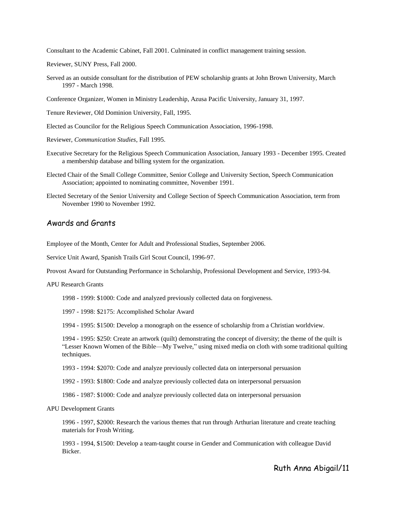Consultant to the Academic Cabinet, Fall 2001. Culminated in conflict management training session.

Reviewer, SUNY Press, Fall 2000.

Served as an outside consultant for the distribution of PEW scholarship grants at John Brown University, March 1997 - March 1998.

Conference Organizer, Women in Ministry Leadership, Azusa Pacific University, January 31, 1997.

Tenure Reviewer, Old Dominion University, Fall, 1995.

Elected as Councilor for the Religious Speech Communication Association, 1996-1998.

Reviewer, *Communication Studies*, Fall 1995.

- Executive Secretary for the Religious Speech Communication Association, January 1993 December 1995. Created a membership database and billing system for the organization.
- Elected Chair of the Small College Committee, Senior College and University Section, Speech Communication Association; appointed to nominating committee, November 1991.
- Elected Secretary of the Senior University and College Section of Speech Communication Association, term from November 1990 to November 1992.

### Awards and Grants

Employee of the Month, Center for Adult and Professional Studies, September 2006.

Service Unit Award, Spanish Trails Girl Scout Council, 1996-97.

Provost Award for Outstanding Performance in Scholarship, Professional Development and Service, 1993-94.

APU Research Grants

1998 - 1999: \$1000: Code and analyzed previously collected data on forgiveness.

1997 - 1998: \$2175: Accomplished Scholar Award

1994 - 1995: \$1500: Develop a monograph on the essence of scholarship from a Christian worldview.

1994 - 1995: \$250: Create an artwork (quilt) demonstrating the concept of diversity; the theme of the quilt is "Lesser Known Women of the Bible—My Twelve," using mixed media on cloth with some traditional quilting techniques.

1993 - 1994: \$2070: Code and analyze previously collected data on interpersonal persuasion

1992 - 1993: \$1800: Code and analyze previously collected data on interpersonal persuasion

1986 - 1987: \$1000: Code and analyze previously collected data on interpersonal persuasion

#### APU Development Grants

1996 - 1997, \$2000: Research the various themes that run through Arthurian literature and create teaching materials for Frosh Writing.

1993 - 1994, \$1500: Develop a team-taught course in Gender and Communication with colleague David **Bicker**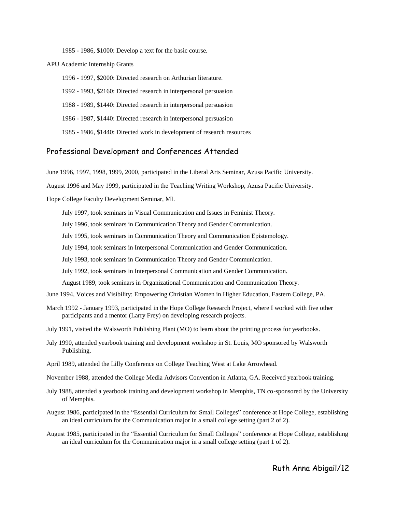1985 - 1986, \$1000: Develop a text for the basic course.

APU Academic Internship Grants

1996 - 1997, \$2000: Directed research on Arthurian literature.

1992 - 1993, \$2160: Directed research in interpersonal persuasion

1988 - 1989, \$1440: Directed research in interpersonal persuasion

1986 - 1987, \$1440: Directed research in interpersonal persuasion

1985 - 1986, \$1440: Directed work in development of research resources

#### Professional Development and Conferences Attended

June 1996, 1997, 1998, 1999, 2000, participated in the Liberal Arts Seminar, Azusa Pacific University.

August 1996 and May 1999, participated in the Teaching Writing Workshop, Azusa Pacific University.

Hope College Faculty Development Seminar, MI.

July 1997, took seminars in Visual Communication and Issues in Feminist Theory.

July 1996, took seminars in Communication Theory and Gender Communication.

July 1995, took seminars in Communication Theory and Communication Epistemology.

July 1994, took seminars in Interpersonal Communication and Gender Communication.

July 1993, took seminars in Communication Theory and Gender Communication.

July 1992, took seminars in Interpersonal Communication and Gender Communication.

August 1989, took seminars in Organizational Communication and Communication Theory.

- June 1994, Voices and Visibility: Empowering Christian Women in Higher Education, Eastern College, PA.
- March 1992 January 1993, participated in the Hope College Research Project, where I worked with five other participants and a mentor (Larry Frey) on developing research projects.
- July 1991, visited the Walsworth Publishing Plant (MO) to learn about the printing process for yearbooks.
- July 1990, attended yearbook training and development workshop in St. Louis, MO sponsored by Walsworth Publishing.
- April 1989, attended the Lilly Conference on College Teaching West at Lake Arrowhead.

November 1988, attended the College Media Advisors Convention in Atlanta, GA. Received yearbook training.

- July 1988, attended a yearbook training and development workshop in Memphis, TN co-sponsored by the University of Memphis.
- August 1986, participated in the "Essential Curriculum for Small Colleges" conference at Hope College, establishing an ideal curriculum for the Communication major in a small college setting (part 2 of 2).
- August 1985, participated in the "Essential Curriculum for Small Colleges" conference at Hope College, establishing an ideal curriculum for the Communication major in a small college setting (part 1 of 2).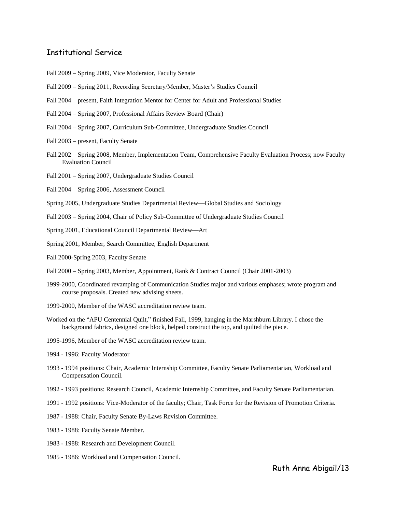#### Institutional Service

- Fall 2009 Spring 2009, Vice Moderator, Faculty Senate
- Fall 2009 Spring 2011, Recording Secretary/Member, Master's Studies Council
- Fall 2004 present, Faith Integration Mentor for Center for Adult and Professional Studies
- Fall 2004 Spring 2007, Professional Affairs Review Board (Chair)
- Fall 2004 Spring 2007, Curriculum Sub-Committee, Undergraduate Studies Council
- Fall 2003 present, Faculty Senate
- Fall 2002 Spring 2008, Member, Implementation Team, Comprehensive Faculty Evaluation Process; now Faculty Evaluation Council
- Fall 2001 Spring 2007, Undergraduate Studies Council
- Fall 2004 Spring 2006, Assessment Council
- Spring 2005, Undergraduate Studies Departmental Review—Global Studies and Sociology
- Fall 2003 Spring 2004, Chair of Policy Sub-Committee of Undergraduate Studies Council
- Spring 2001, Educational Council Departmental Review—Art
- Spring 2001, Member, Search Committee, English Department
- Fall 2000-Spring 2003, Faculty Senate
- Fall 2000 Spring 2003, Member, Appointment, Rank & Contract Council (Chair 2001-2003)
- 1999-2000, Coordinated revamping of Communication Studies major and various emphases; wrote program and course proposals. Created new advising sheets.
- 1999-2000, Member of the WASC accreditation review team.
- Worked on the "APU Centennial Quilt," finished Fall, 1999, hanging in the Marshburn Library. I chose the background fabrics, designed one block, helped construct the top, and quilted the piece.
- 1995-1996, Member of the WASC accreditation review team.
- 1994 1996: Faculty Moderator
- 1993 1994 positions: Chair, Academic Internship Committee, Faculty Senate Parliamentarian, Workload and Compensation Council.
- 1992 1993 positions: Research Council, Academic Internship Committee, and Faculty Senate Parliamentarian.
- 1991 1992 positions: Vice-Moderator of the faculty; Chair, Task Force for the Revision of Promotion Criteria.
- 1987 1988: Chair, Faculty Senate By-Laws Revision Committee.
- 1983 1988: Faculty Senate Member.
- 1983 1988: Research and Development Council.
- 1985 1986: Workload and Compensation Council.